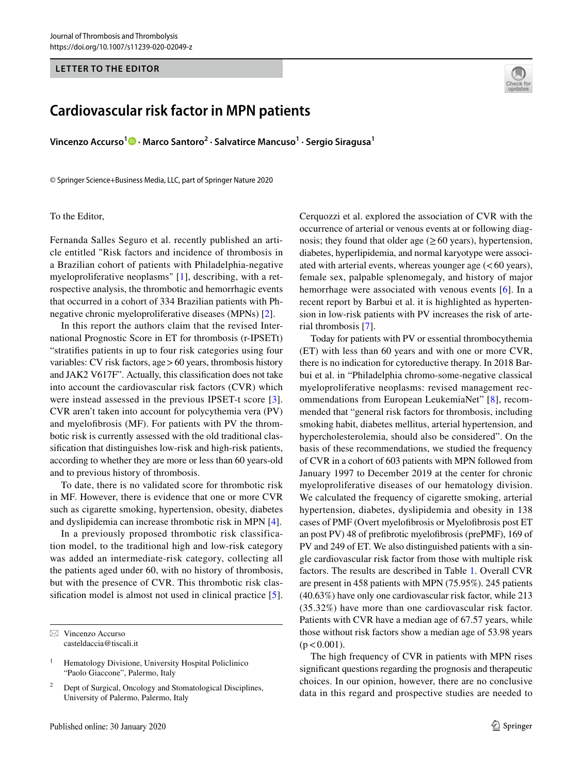#### **LETTER TO THE EDITOR**

# **Cardiovascular risk factor in MPN patients**

**Vincenzo Accurso1 · Marco Santoro<sup>2</sup> · Salvatirce Mancuso1 · Sergio Siragusa1**

© Springer Science+Business Media, LLC, part of Springer Nature 2020

#### To the Editor,

Fernanda Salles Seguro et al. recently published an article entitled "Risk factors and incidence of thrombosis in a Brazilian cohort of patients with Philadelphia-negative myeloproliferative neoplasms" [\[1\]](#page-1-0), describing, with a retrospective analysis, the thrombotic and hemorrhagic events that occurred in a cohort of 334 Brazilian patients with Phnegative chronic myeloproliferative diseases (MPNs) [[2\]](#page-1-1).

In this report the authors claim that the revised International Prognostic Score in ET for thrombosis (r-IPSETt) "stratifes patients in up to four risk categories using four variables: CV risk factors, age>60 years, thrombosis history and JAK2 V617F". Actually, this classifcation does not take into account the cardiovascular risk factors (CVR) which were instead assessed in the previous IPSET-t score [[3](#page-1-2)]. CVR aren't taken into account for polycythemia vera (PV) and myelofbrosis (MF). For patients with PV the thrombotic risk is currently assessed with the old traditional classifcation that distinguishes low-risk and high-risk patients, according to whether they are more or less than 60 years-old and to previous history of thrombosis.

To date, there is no validated score for thrombotic risk in MF. However, there is evidence that one or more CVR such as cigarette smoking, hypertension, obesity, diabetes and dyslipidemia can increase thrombotic risk in MPN [\[4](#page-1-3)].

In a previously proposed thrombotic risk classification model, to the traditional high and low-risk category was added an intermediate-risk category, collecting all the patients aged under 60, with no history of thrombosis, but with the presence of CVR. This thrombotic risk classifcation model is almost not used in clinical practice [[5](#page-1-4)].



rial thrombosis [\[7](#page-1-6)]. Today for patients with PV or essential thrombocythemia (ET) with less than 60 years and with one or more CVR, there is no indication for cytoreductive therapy. In 2018 Barbui et al. in "Philadelphia chromo-some-negative classical myeloproliferative neoplasms: revised management recommendations from European LeukemiaNet" [[8](#page-1-7)], recommended that "general risk factors for thrombosis, including smoking habit, diabetes mellitus, arterial hypertension, and hypercholesterolemia, should also be considered". On the basis of these recommendations, we studied the frequency of CVR in a cohort of 603 patients with MPN followed from January 1997 to December 2019 at the center for chronic myeloproliferative diseases of our hematology division. We calculated the frequency of cigarette smoking, arterial hypertension, diabetes, dyslipidemia and obesity in 138 cases of PMF (Overt myelofbrosis or Myelofbrosis post ET an post PV) 48 of prefbrotic myelofbrosis (prePMF), 169 of PV and 249 of ET. We also distinguished patients with a single cardiovascular risk factor from those with multiple risk factors. The results are described in Table [1](#page-1-8). Overall CVR are present in 458 patients with MPN (75.95%). 245 patients (40.63%) have only one cardiovascular risk factor, while 213 (35.32%) have more than one cardiovascular risk factor. Patients with CVR have a median age of 67.57 years, while those without risk factors show a median age of 53.98 years  $(p < 0.001)$ .

The high frequency of CVR in patients with MPN rises signifcant questions regarding the prognosis and therapeutic choices. In our opinion, however, there are no conclusive data in this regard and prospective studies are needed to



 $\boxtimes$  Vincenzo Accurso casteldaccia@tiscali.it

<sup>1</sup> Hematology Divisione, University Hospital Policlinico "Paolo Giaccone", Palermo, Italy

<sup>2</sup> Dept of Surgical, Oncology and Stomatological Disciplines, University of Palermo, Palermo, Italy